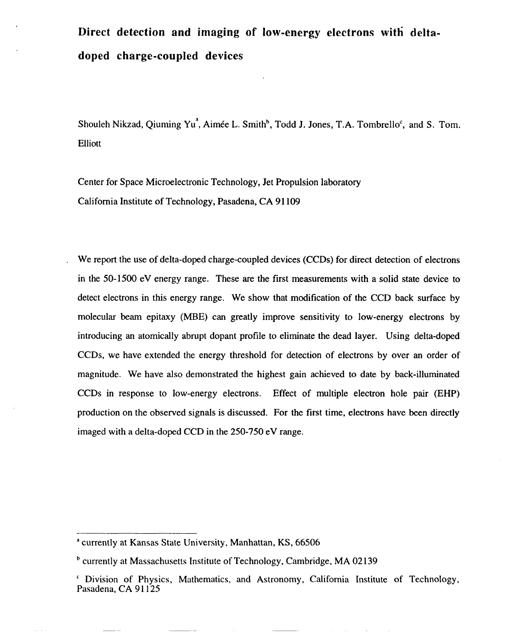## **Direct detection and imaging of low-energy electrons witk deltadoped charge-coupled devices**

Shouleh Nikzad, Qiuming Yu<sup>a</sup>, Aimée L. Smith<sup>b</sup>, Todd J. Jones, T.A. Tombrello<sup>c</sup>, and S. Tom. Elliott

Center for Space Microelectronic Technology, Jet Propulsion laboratory California Institute of Technology, Pasadena,CA91109

We report the use of delta-doped charge-coupled devices (CCDS) for direct detection of electrons in the 50-1500 eV energy range. These are the first measurements with a solid state device to detect electrons in this energy range. We show that modification of the CCD back surface by molecular beam epitaxy (MBE) can greatly improve sensitivity to low-energy electrons by introducing an atomically abrupt dopant profile to eliminate the dead layer. Using delta-doped CCDS, we have extended the energy threshold for detection of electrons by over an order of magnitude. We have also demonstrated the highest gain achieved to date by back-illuminated CCDS in response to low-energy electrons. Effect of multiple electron hole pair (EHP) production on the observed signals is discussed. For the first time, electrons have been directly imaged with a delta-doped CCD in the 250-750 eV range.

<sup>&</sup>lt;sup>a</sup> currently at Kansas State University, Manhattan, KS, 66506

<sup>&</sup>lt;sup>b</sup> currently at Massachusetts Institute of Technology, Cambridge, MA 02139

<sup>&</sup>lt;sup>c</sup> Division of Physics, Mathematics, and Astronomy, California Institute of Technology, Pasadena, CA 91125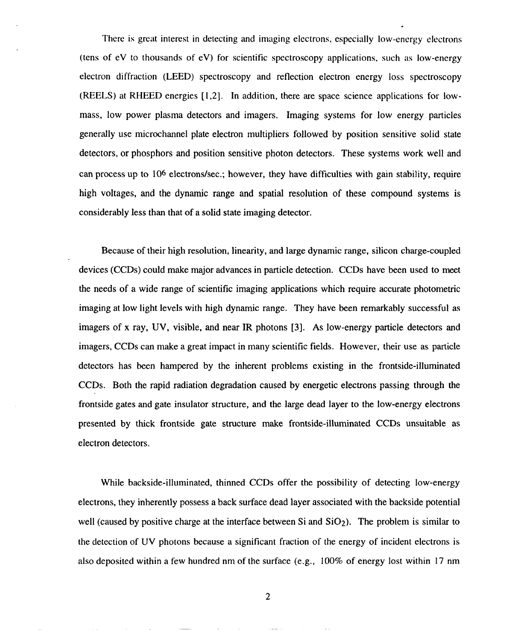There is great interest in detecting and imaging electrons, especially Iow-energy electrons (tens of eV to thousands of eV) for scientific spectroscopy applications, such as low-energy electron diffraction (LEED) spectroscopy and reflection electron energy loss spectroscopy (REELS) at RHEED energies [1,2]. In addition, there are space science applications for lowmass, low power plasma detectors and imagers. Imaging systems for low energy particles generally use microchannel plate electron multipliers followed by position sensitive solid state detectors, or phosphors and position sensitive photon detectors. These systems work well and can process up to 106 electrons/see.; however, they have difficulties with gain stability, require high voltages, and the dynamic range and spatial resolution of these compound systems is considerably less than that of a solid state imaging detector.

Because of their high resolution, linearity, and large dynamic range, silicon charge-coupled devices (CCDS) could make major advances in particle detection. CCDS have been used to meet the needs of a wide range of scientific imaging applications which require accurate photometric imaging at low light levels with high dynamic range. They have been remarkably successful as imagers of x ray, UV, visible, and near IR photons [3], As low-energy particle detectors and imagers, CCDS can make a great impact in many scientific fields. However, their use as particle detectors has been hampered by the inherent problems existing in the frontside-illuminated CCDS. Both the rapid radiation degradation caused by energetic electrons passing through the frontside gates and gate insulator structure, and the large dead layer to the low-energy electrons presented by thick frontside gate structure make frontside-illuminated CCDS unsuitable as electron detectors.

While backside-illuminated, thinned CCDs offer the possibility of detecting low-energ electrons, they inherently possess a back surface dead layer associated with the backside potentia well (caused by positive charge at the interface between Si and  $SiO<sub>2</sub>$ ). The problem is similar to the detection of UV photons because a significant fraction of the energy of incident electrons is also deposited within a few hundred nm of the surface (e.g., 100% of energy lost within 17 nm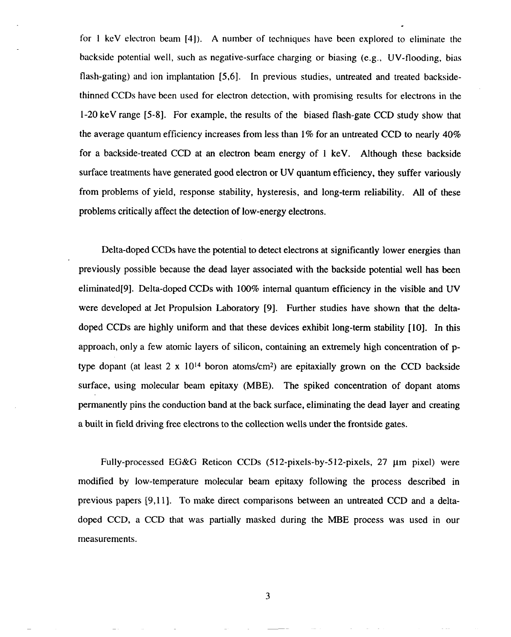for I keV electron beam [4]). A number of techniques have been explored to eliminate the backside potential well, such as negative-surface charging or biasing (e.g., UV-flooding, bias flash-gating) and ion implantation [5,6]. In previous studies, untreated and treated backsidethinned CCDS have been used for electron detection, with promising resuhs for electrons in the 1-20 keV range [5-8]. For example, the results of the biased flash-gate CCD study show that the average quantum efficiency increases from less than 1% for an untreated CCD to nearly 40% for a backside-treated CCD at an electron beam energy of 1 keV. Although these backside surface treatments have generated good electron or UV quantum efficiency, they suffer variously from problems of yield, response stability, hysteresis, and long-term reliability. All of these problems critically affect the detection of low-energy electrons.

Delta-doped CCDS have the potential to detect electrons at significantly lower energies than previously possible because the dead layer associated with the backside potential well has been eliminated[9]. Delta-doped CCDs with 100% internal quantum efficiency in the visible and UV were developed at Jet Propulsion Laboratory [9]. Further studies have shown that the deltadoped CCDS are highly uniform and that these devices exhibit long-term stability [10]. In this approach, only a few atomic layers of silicon, containing an extremely high concentration of ptype dopant (at least  $2 \times 10^{14}$  boron atoms/cm<sup>2</sup>) are epitaxially grown on the CCD backside surface, using molecular beam epitaxy (MBE). The spiked concentration of dopant atoms permanently pins the conduction band at the back surface, eliminating the dead layer and creating a built in field driving free electrons to the collection wells under the frontside gates.

Fully-processed EG&G Reticon CCDs  $(512$ -pixels-by-512-pixels, 27  $\mu$ m pixel) were modified by low-temperature molecular beam epitaxy following the process described in previous papers [9, 11]. To make direct comparisons between an untreated CCD and a deltadoped CCD, a CCD that was partially masked during the MBE process was used in our measurements.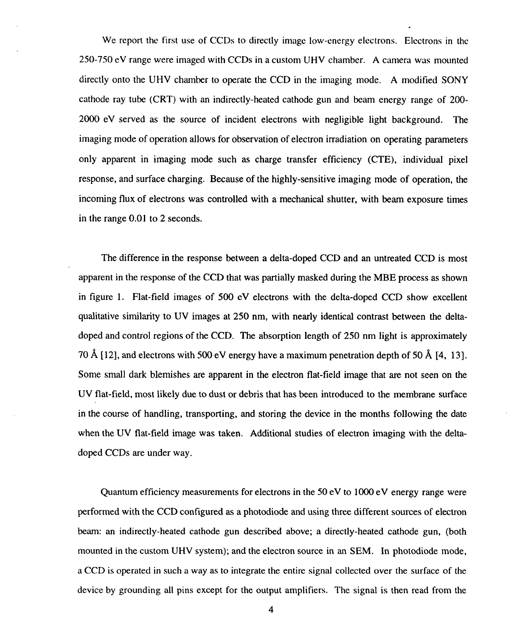$\mathcal{L}$  . The contract with CCDS in a custom UHV chamber. A custom UHV chamber  $\mathcal{L}$ 250-750 eV range were imaged with CCDs in a custom UHV chamber. A camera was mounted directly onto the UHV chamber to operate the UHV chamber to operate the imaging mode. A mode  $\mathcal{L}$ directly onto the UHV chamber to operate the CCD in the imaging mode. A modified SONY cathode ray tube (CRT) with an indirection  $\mathcal{L}$  and beam energy range of 200cathode ray tube (CRT) with an indirectly-heated cathode gun and beam energy range of 200- $2000$  eV served as the source of incident electrons with negligible light background. The source of incident electrons with  $\alpha$  $\mathcal{O}$  of observation of electron is electron in operation of electron in  $\mathcal{O}$ imaging mode of operation allows for observation of electron irradiation on operating parameters  $\overline{C}$  and  $\overline{C}$  and  $\overline{C}$  effects (CTE), individual pixel effects (CTE), individual pixel pixel pixel pixel pixel pixel pixel pixel pixel pixel pixel pixel pixel pixel pixel pixel pixel pixel pixel pixel pixel pi response, and surface charging. Because of the highly-sensitive imaging mode of operation, the response, and surface charging. Because of the highly-sensitive imaging mode of operation, the incoming flux of electrons was controlled with a mechanical shutter, with beam exposure times, with beam exposure times  $\alpha$ in the range 0.01 to 2 seconds. in the range 0.01 to 2 seconds.

We report the first use of  $C$  to directly image low-energy electrons in the first use of  $\mathcal{C}$ 

apparent in the response of the response of the CCD that was particles as shown in the MBE process as shown in in figure 1. Flat-field images of  $500$  eV electrons with the delta-doped CCD show excellent  $\sim$ qualitative similarity to UV images at 250 nm, with nearly identical contrast between the delta- $\ddot{\phantom{a}}$  and  $\ddot{\phantom{a}}$  regions of  $250$  $\mathcal{I}$ , and electrons with 500 eV energy have a maximum penetration depth of  $\mathcal{I}$  $S_{\rm eff}$  small dark blemishes are apparent in the electron flat-field image that are not seen on the electron flat-field image that are not seen on the electron flat-field image that are not seen on the electron flat-fiel  $\mathbf{m}$  flat-field, most due to dust or debris that has been introduced to the membrane surface surface surface UV flat-field, most likely due to dust or debris that has been introduced to the membrane surface in the course of handling, transporting, and storing the device in the months following the date in the course of handling, transporting, and storing the device in the months following the date doped CCDS are under way. doped CCDs are under way.

Quantum efficiency measurements for electrons in the 50 eV to 1000 eV energy range were  $\mathcal{L}$  configured as a photodiode and using the CCD configured as a photodiode and using three different sources of electron performed with the CCD configured as a photodiode and using three different sources of electron beam: and indirectly-heated cathode gun described above; a directly-heated cathode gun described above; a direct  $m_{\rm H}$  system); and the electron source in an  $S_{\rm H}$  system); and  $S_{\rm H}$  in an  $S_{\rm H}$ a CCD is operated in such a way as to integrate the entire signal collected over the surface of the surface of the surface of the surface of the surface of the surface of the surface of the surface of the surface of the s device by grounding all pins except for the output amplifiers. The signal is the signal is then read from the signal is the signal is the signal is the signal is the signal is the signal is the signal is then read from th 4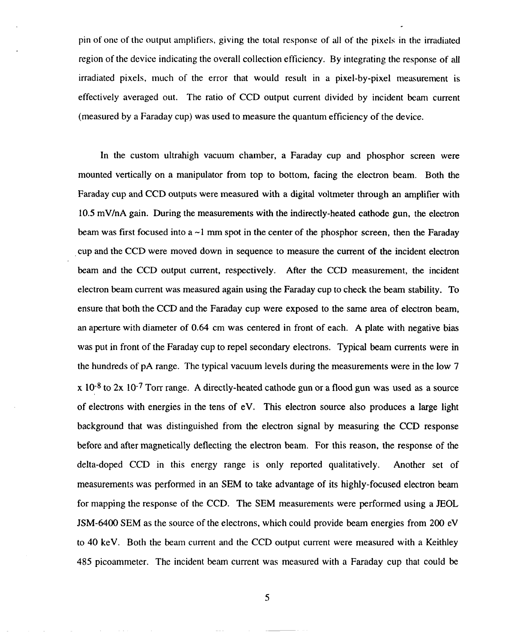pin of one of the output amplifiers, giving the total response of all of the pixels in the irradiated region of the device indicating the overall collection efficiency. By integrating the response of all irradiated pixels, much of the error that would result in a pixel-by-pixel measurement is effectively averaged out. The ratio of CCD output current divided by incident beam current (measured by a Faraday cup) was used to measure the quantum efficiency of the device.

In the custom ultrahigh vacuum chamber, a Faraday cup and phosphor screen were mounted vertically on a manipulator from top to bottom, facing the electron beam. Both the Faraday cup and CCD outputs were measured with a digital voltmeter through an amplifier with 10.5 mV/nA gain. During the measurements with the indirectly-heated cathode gun, the electron beam was first focused into a  $\sim$ 1 mm spot in the center of the phosphor screen, then the Faraday cup and the CCD were moved down in sequence to measure the current of the incident electron beam and the CCD output current, respectively. After the CCD measurement, the incident electron beam current was measured again using the Faraday cup to check the beam stability. To ensure that both the CCD and the Faraday cup were exposed to the same area of electron beam, an aperture with diameter of 0.64 cm was centered in front of each. A plate with negative bias was put in front of the Faraday cup to repel secondary electrons. Typical beam currents were in the hundreds of pA range. The typical vacuum levels during the measurements were in the low 7  $x$  10<sup>-8</sup> to 2x 10<sup>-7</sup> Torr range. A directly-heated cathode gun or a flood gun was used as a source of electrons with energies in the tens of eV. This electron source also produces a large light background that was distinguished from the electron signal by measuring the CCD response before and after magnetically deflecting the electron beam. For this reason, the response of the delta-doped CCD in this energy range is only reported qualitatively. Another set of measurements was performed in an SEM to take advantage of its highly-focused electron beam for mapping the response of the CCD. The SEM measurements were performed using a JEOL JSM-6400 SEM as the source of the electrons, which could provide beam energies from 200 eV to 40 keV. Both the beam current and the CCD output current were measured with a Keithley 485 picoammeter. The incident beam current was measured with a Faraday cup that could be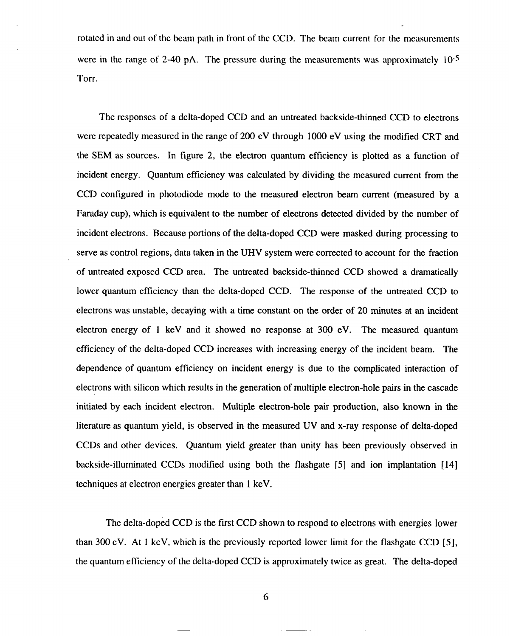rotated in and out of the beam path in front of the CCD. The beam current for the measurements were in the range of 2-40 pA. The pressure during the measurements was approximately 10<sup>-5</sup> Torr.

The responses of a delta-doped CCD and an untreated backside-thinned CCD to electrons were repeatedly measured in the range of 200 eV through 1000 eV using the modified CRT and the SEM as sources. In figure 2, the electron quantum efficiency is plotted as a function of incident energy. Quantum efficiency was calculated by dividing the measured current from the CCD configured in photodiode mode to the measured electron beam current (measured by a Faraday cup), which is equivalent to the number of electrons detected divided by the number of incident electrons. Because portions of the delta-doped CCD were masked during processing to serve as control regions, data taken in the UHV system were corrected to account for the fraction of untreated exposed CCD area. The untreated backside-thinned CCD showed a dramatically lower quantum efficiency than the delta-doped CCD. The response of the untreated CCD to electrons was unstable, decaying with a time constant on the order of 20 minutes at an incident electron energy of 1 keV and it showed no response at 300 eV. The measured quantum efficiency of the delta-doped CCD increases with increasing energy of the incident beam. The dependence of quantum efficiency on incident energy is due to the complicated interaction of electrons with silicon which results in the generation of multiple electron-hole pairs in the cascade initiated by each incident electron. Multiple electron-hole pair production, also known in the literature as quantum yield, is observed in the measured UV and x-ray response of delta-doped CCDS and other devices. Quantum yield greater than unity has been previously observed in backside-illuminated CCDS modified using both the flashgate [5] and ion implantation [14] techniques at electron energies greater than 1 keV.

The delta-doped CCD is the first CCD shown to respond to electrons with energies lower than 300 eV. At 1 keV, which is the previously reported lower limit for the flashgate CCD [5], the quantum efficiency of the delta-doped CCD is approximately twice as great. The delta-doped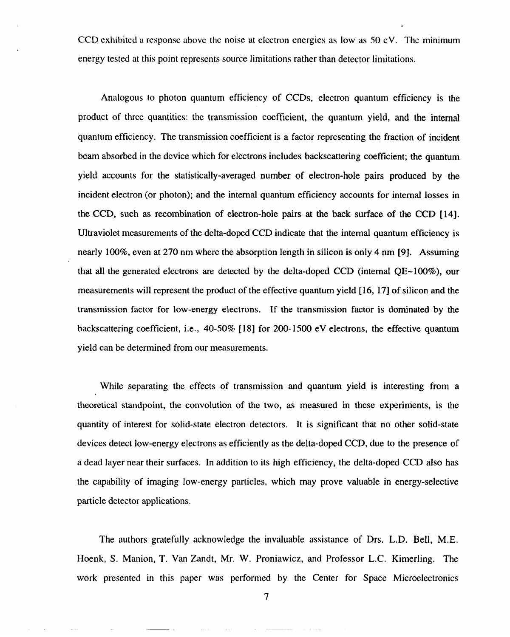CCD exhibited a response above the noise at electron energies as low as  $50 \text{ eV}$ . The minimum energy tested at this point represents source limitations rather than detector limitations.

Analogous to photon quantum efficiency of CCDS, electron quantum efficiency is the product of three quantities: the transmission coefficient, the quantum yield, and the internal quantum efficiency. The transmission coefficient is a factor representing the fraction of incident beam absorbed in the device which for electrons includes backscattering coefficient; the quantum yield accounts for the statistically-averaged number of electron-hole pairs produced by the incident electron (or photon); and the internal quantum efficiency accounts for internal losses in the CCD, such as recombination of electron-hole pairs at the back surface of the CCD [14]. Ultraviolet measurements of the delta-doped CCD indicate that the internal quantum efficiency is nearly 100%, even at 270 nm where the absorption length in silicon is only 4 nm [9]. Assuming that all the generated electrons are detected by the delta-doped CCD (internal  $OE~100\%$ ), our measurements will represent the product of the effective quantum yield [16, 17] of silicon and the transmission factor for low-energy electrons. If the transmission factor is dominated by the backscattering coefficient, i.e., 40-50% [18] for 200-1500 eV electrons, the effective quantum yield can be determined from our measurements.

While separating the effects of transmission and quantum yield is interesting from a theoretical standpoint, the convolution of the two, as measured in these experiments, is the quantity of interest for solid-state electron detectors. It is significant that no other solid-state devices detect low-energy electrons as efficiently as the delta-doped CCD, due to the presence of a dead layer near their surfaces. In addition to its high efficiency, the delta-doped CCD also has the capability of imaging low-energy particles, which may prove valuable in energy-selective particle detector applications.

The authors gratefully acknowledge the invaluable assistance of Drs. L.D, Bell, M.E. Hoenk, S. Manion, T. Van Zandt, Mr. W. Proniawicz, and Professor L.C. Kimerling. The work presented in this paper was performed by the Center for Space Microelectronic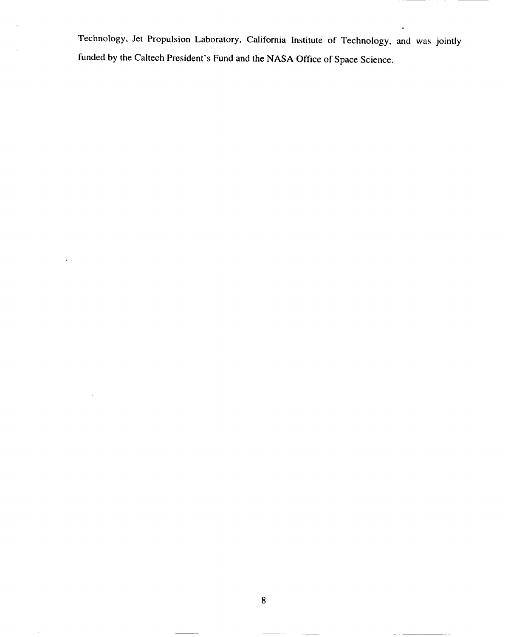Technology, Jet Propulsion Laboratory, California Institute of Technology, and was jointly funded by the Caltech President's Fund and the NASA Office of Space Science.

 ${\bf 8}$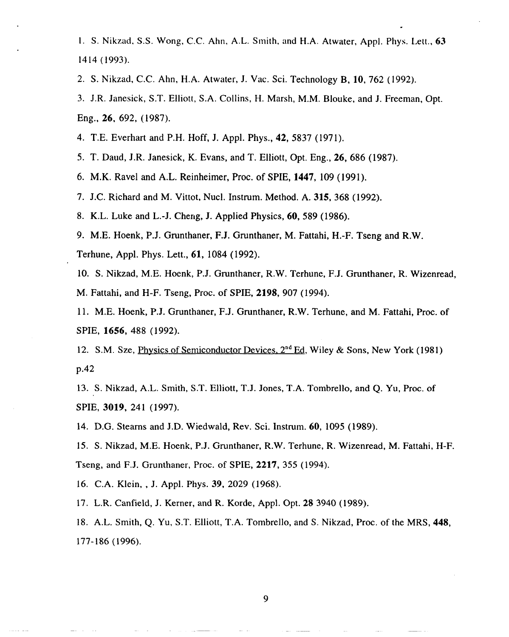1. S. Nikzad, S.S. Wong, C.C. Ahn, A.L. Smith, and H.A. Atwater, Appl. Phys. Lett., 63 1414 (1993).

2. S. Nikzad, C.C. Ahn, H.A. Atwater, J. Vac. Sci. Technology B, 10, 762 (1992).

3. J.R. Janesick, S.T. Elliott, S,A. Collins, H. Marsh, M.M. Blouke, and J. Freeman, Opt. Eng., 26, 692, (1987).

4. T.E. Everhart and P.H. Hoff, J. Appl. Phys., 42, 5837 (1971).

5. T. Daud, J.R. Janesick, K. Evans, and T. Elliott, Opt. Eng., 26, 686 (1987).

6. M.K. Ravel and A.L. Reinheimer, Proc. of SPIE, 1447, 109 (1991).

7. J.C. Richard and M. Vittot, Nucl. Instrum. Method. A. 315,368 (1992).

8. K.L. Luke and L.-J. Cheng, J. Applied Physics, 60,589 (1986).

9. M.E. Hoenk, P.J. Grunthaner, F.J. Grunthaner, M. Fattahi, H.-F. Tseng and R.W. Terhune, Appl. Phys. Lett., 61, 1084 (1992).

10. S. Nikzad, M.E. Hoenk, P.J. Grunthaner, R.W. Terhune, F.J. Grunthaner, R. Wizenread, M. Fattahi, and H-F. Tseng, Proc. of SPIE, 2198,907 (1994).

11. M.E. Hoenk, P.J. Grunthaner, F.J. Grunthaner, R.W. Terhune, and M. Fattahi, Proc. of SPIE, 1656, 488 (1992).

12. S.M. Sze, Physics of Semiconductor Devices,  $2^{nd}$  Ed, Wiley & Sons, New York (1981) p.42

13. S. Nikzad, A.L. Smith, S.T. Elliott, T.J. Jones, T.A. Tombrello, and Q. Yu, Proc. of SPIE, 3019, 241 (1997).

14. D.G. Stearns and J.D. Wiedwald, Rev. Sci. Instrum. 60, 1095 (1989).

15. S. Nikzad, M.E. Hoenk, P.J. Grunthaner, R.W. Terhune, R. Wizenread, M. Fattahi, H-F. Tseng, and F.J. Grunthaner, Proc. of SPIE, 2217, 355 (1994).

16. C.A. Klein, , J. Appl. Phys. 39, 2029 (1968).

17. L.R. Canfield, J. Kerner, and R. Korde, Appl. Opt. 283940 (1989).

18. A.L. Smith, Q. Yu, S.T. Elliott, T,A. Tombrello, and S. Nikzad, Proc. of the MRS, 448, 177-186 (1996).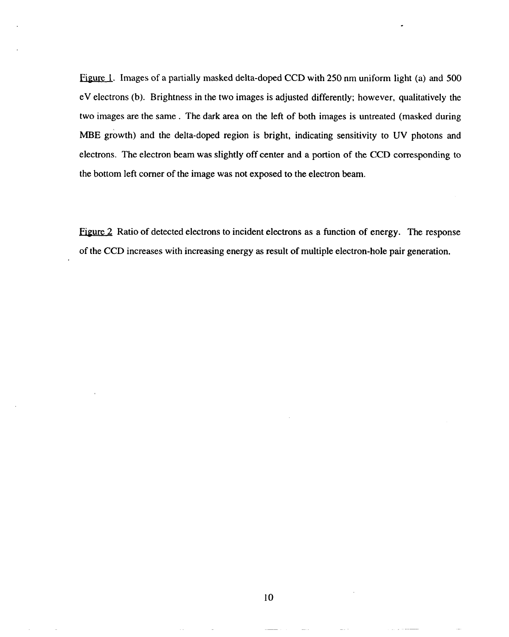Figure 1. Images of a partially masked delta-doped CCD with 250 nm uniform light (a) and 500 eV electrons (b). Brightness in the two images is adjusted differently; however, qualitatively the two images are the same . The dark area on the left of both images is untreated (masked during MBE growth) and the delta-doped region is bright, indicating sensitivity to UV photons and electrons. The electron beam was slightly off center and a portion of the CCD corresponding to the bottom left corner of the image was not exposed to the electron beam.

 $r_{\text{figure 2}}$  Ratio of detected electrons to incident electrons as a function of energy. The response of the CCD increases with increasing energy as result of multiple electron-hole pair generation.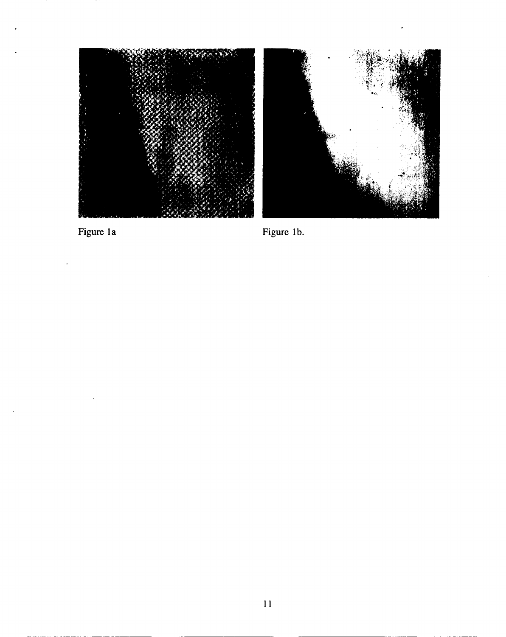

Figure 1a



Figure 1b.